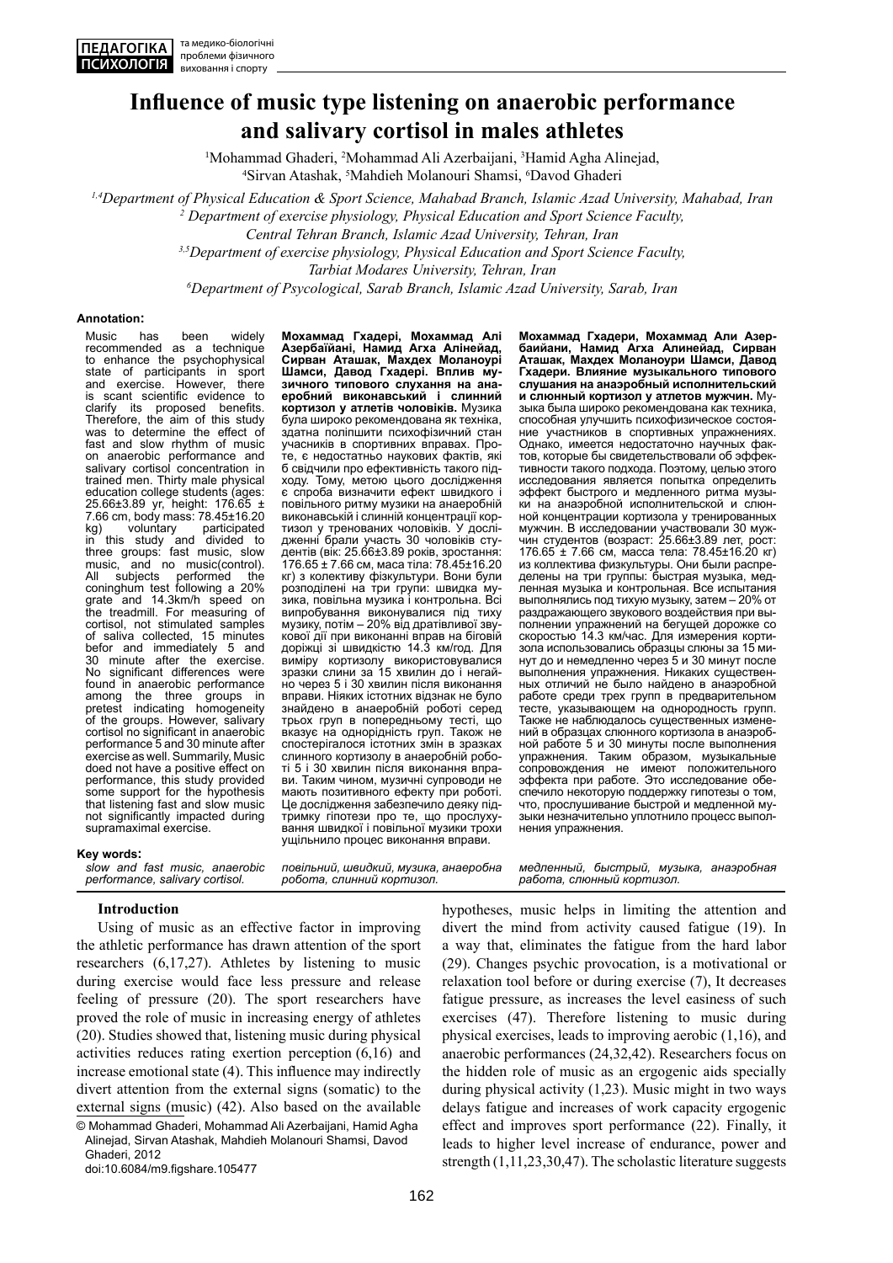# **Influence of music type listening on anaerobic performance and salivary cortisol in males athletes**

<sup>1</sup>Mohammad Ghaderi, <sup>2</sup>Mohammad Ali Azerbaijani, <sup>3</sup>Hamid Agha Alinejad, <sup>4</sup>Sirvan Atashak 5Mahdieh Molanouri Shamsi, <sup>6</sup>Davod Ghaderi Sirvan Atashak, <sup>5</sup>Mahdieh Molanouri Shamsi, <sup>6</sup>Davod Ghaderi

*1,4Department of Physical Education & Sport Science, Mahabad Branch, Islamic Azad University, Mahabad, Iran 2*

 *Department of exercise physiology, Physical Education and Sport Science Faculty,* 

*Central Tehran Branch, Islamic Azad University, Tehran, Iran* 

*3,5Department of exercise physiology, Physical Education and Sport Science Faculty,* 

**Tarbiat Modares University, Tehran, Iran** 

*Department of Psycological, Sarab Branch, Islamic Azad University, Sarab, Iran*

#### **Annotation:**

Music has been widely recommended as a technique to enhance the psychophysical<br>state of participants in sport<br>and exercise. However, there state of participants in sport and exercise. However, there is scant scientific evidence to<br>clarify its proposed benefits. clarify its proposed benefits. Therefore, the aim of this study was to determine the effect of fast and slow rhythm of music on anaerobic performance and salivary cortisol concentration in trained men. Thirty male physical education college students (ages: 25.66±3.89 yr, height: 176.65 ± 7.66 cm, body mass: 78.45±16.20 kg) voluntary participated in this study and divided to three groups: fast music, slow music, and no music(control). All subjects performed the coninghum test following a 20% grate and 14.3km/h speed on the treadmill. For measuring of cortisol, not stimulated samples of saliva collected, 15 minutes befor and immediately 5 and 30 minute after the exercise. No significant differences were found in anaerobic performance among the three groups in pretest indicating homogeneity of the groups. However, salivary cortisol no significant in anaerobic performance 5 and 30 minute after exercise as well. Summarily, Music doed not have a positive effect on performance, this study provided some support for the hypothesis that listening fast and slow music not significantly impacted during supramaximal exercise.

**Мохаммад Гхадері, Мохаммад Алі Азербаїйані, Hамид Агха Алінейад, Сирван Аташак, Махдех Моланоурі Шамси, Давод Гхадері. Вплив музичного типового слухання на анаеробний виконавський і слинний кортизол у атлетів чоловіків.** Музика була широко рекомендована як техніка, здатна поліпшити психофізичний стан учасників в спортивних вправах. Проте, є недостатньо наукових фактів, які б свідчили про ефективність такого підходу. Тому, метою цього дослідження є спроба визначити ефект швидкого і повільного ритму музики на анаеробній виконавській і слинній концентрації кортизол у тренованих чоловіків. У дослідженні брали участь 30 чоловіків студентів (вік: 25.66±3.89 років, зростання: 176.65 ± 7.66 см, маса тіла: 78.45±16.20 кг) з колективу фізкультури. Вони були розподілені на три групи: швидка і зика, повільна музика і контрольна. Всі випробування виконувалися під тиху музику, потім – 20% від дратівливої звукової дії при виконанні вправ на біговій доріжці зі швидкістю 14.3 км/год. Для виміру кортизолу використовувалися зразки слини за 15 хвилин до і негайно через 5 і 30 хвилин після виконання вправи. Ніяких істотних відзнак не було знайдено в анаеробній роботі серед трьох груп в попередньому тесті, що вказує на однорідність груп. Також не спостерігалося істотних змін в зразках слинного кортизолу в анаеробній роботі 5 і 30 хвилин після виконання вправи. Таким чином, музичні супроводи не мають позитивного ефекту при роботі. Це дослідження забезпечило деяку підтримку гіпотези про те, що прослухування швидкої і повільної музики трохи ущільнило процес виконання вправи.

**Аташак, Махдех Моланоури Шамси, Давод Гхадери. Влияние музыкального типового слушания на анаэробный исполнительский и слюнный кортизол у атлетов мужчин.** Музыка была широко рекомендована как техника, способная улучшить психофизическое состояние участников в спортивных упражнениях. Однако, имеется недостаточно научных фактов, которые бы свидетельствовали об эффективности такого подхода. Поэтому, целью этого исследования является попытка определить эффект быстрого и медленного ритма музыки на анаэробной исполнительской и слюнной концентрации кортизола у тренированных мужчин. В исследовании участвовали 30 мужчин студентов (возраст: 25.66±3.89 лет, рост: 176.65 ± 7.66 см, масса тела: 78.45±16.20 кг) из коллектива физкультуры. Они были распределены на три группы: быстрая музыка, медленная музыка и контрольная. Все испытания выполнялись под тихую музыку, затем – 20% от раздражающего звукового воздействия при выполнении упражнений на бегущей дорожке со скоростью 14.3 км/час. Для измерения кортизола использовались образцы слюны за 15 минут до и немедленно через 5 и 30 минут после выполнения упражнения. Никаких существенных отличий не было найдено в анаэробной работе среди трех групп в предварительном тесте, указывающем на однородность групп. Также не наблюдалось существенных изменений в образцах слюнного кортизола в анаэробной работе 5 и 30 минуты после выполнения упражнения. Таким образом, музыкальные сопровождения не имеют положительного эффекта при работе. Это исследование обеспечило некоторую поддержку гипотезы о том, что, прослушивание быстрой и медленной музыки незначительно уплотнило процесс выполнения упражнения.

**Мохаммад Гхадери, Мохаммад Али Азербаийани, Hамид Агха Алинейад, Сирван** 

#### **Key words:**

*slow and fast music, anaerobic performance, salivary cortisol.* 

*повільний, швидкий, музика, анаеробна робота, слинний кортизол.* 

*медленный, быстрый, музыка, анаэробная работа, слюнный кортизол.* 

**Introduction** 

Using of music as an effective factor in improving the athletic performance has drawn attention of the sport researchers (6,17,27). Athletes by listening to music during exercise would face less pressure and release feeling of pressure (20). The sport researchers have proved the role of music in increasing energy of athletes (20). Studies showed that, listening music during physical activities reduces rating exertion perception (6,16) and increase emotional state (4). This influence may indirectly divert attention from the external signs (somatic) to the external signs (music) (42). Also based on the available © Mohammad Ghaderi, Mohammad Ali Azerbaijani, Hamid Agha

Alinejad, Sirvan Atashak, Mahdieh Molanouri Shamsi, Davod Ghaderi, 2012

doi:10.6084/m9.figshare.105477

hypotheses, music helps in limiting the attention and divert the mind from activity caused fatigue (19). In a way that, eliminates the fatigue from the hard labor (29). Changes psychic provocation, is a motivational or relaxation tool before or during exercise (7), It decreases fatigue pressure, as increases the level easiness of such exercises (47). Therefore listening to music during physical exercises, leads to improving aerobic (1,16), and anaerobic performances (24,32,42). Researchers focus on the hidden role of music as an ergogenic aids specially during physical activity (1,23). Music might in two ways delays fatigue and increases of work capacity ergogenic effect and improves sport performance (22). Finally, it leads to higher level increase of endurance, power and strength (1,11,23,30,47). The scholastic literature suggests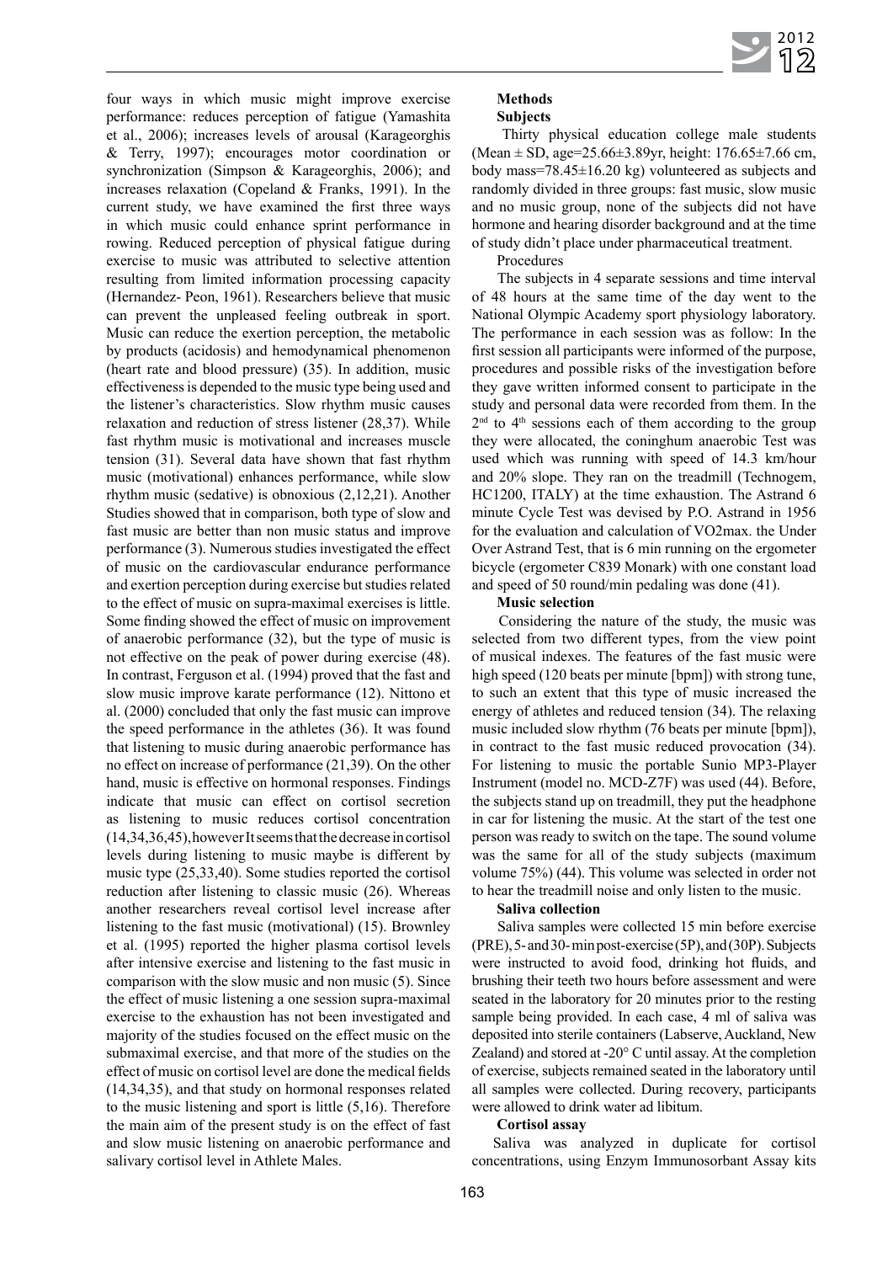four ways in which music might improve exercise performance: reduces perception of fatigue (Yamashita et al., 2006); increases levels of arousal (Karageorghis & Terry, 1997); encourages motor coordination or synchronization (Simpson & Karageorghis, 2006); and increases relaxation (Copeland & Franks, 1991). In the current study, we have examined the first three ways in which music could enhance sprint performance in rowing. Reduced perception of physical fatigue during exercise to music was attributed to selective attention resulting from limited information processing capacity (Hernandez- Peon, 1961). Researchers believe that music can prevent the unpleased feeling outbreak in sport. Music can reduce the exertion perception, the metabolic by products (acidosis) and hemodynamical phenomenon (heart rate and blood pressure) (35). In addition, music effectiveness is depended to the music type being used and the listener's characteristics. Slow rhythm music causes relaxation and reduction of stress listener (28,37). While fast rhythm music is motivational and increases muscle tension (31). Several data have shown that fast rhythm music (motivational) enhances performance, while slow rhythm music (sedative) is obnoxious (2,12,21). Another Studies showed that in comparison, both type of slow and fast music are better than non music status and improve performance (3). Numerous studies investigated the effect of music on the cardiovascular endurance performance and exertion perception during exercise but studies related to the effect of music on supra-maximal exercises is little. Some finding showed the effect of music on improvement of anaerobic performance (32), but the type of music is not effective on the peak of power during exercise (48). In contrast, Ferguson et al. (1994) proved that the fast and slow music improve karate performance (12). Nittono et al. (2000) concluded that only the fast music can improve the speed performance in the athletes (36). It was found that listening to music during anaerobic performance has no effect on increase of performance (21,39). On the other hand, music is effective on hormonal responses. Findings indicate that music can effect on cortisol secretion as listening to music reduces cortisol concentration (14,34,36,45),however It seems that the decrease in cortisol levels during listening to music maybe is different by music type (25,33,40). Some studies reported the cortisol reduction after listening to classic music (26). Whereas another researchers reveal cortisol level increase after listening to the fast music (motivational) (15). Brownley et al. (1995) reported the higher plasma cortisol levels after intensive exercise and listening to the fast music in comparison with the slow music and non music (5). Since the effect of music listening a one session supra-maximal exercise to the exhaustion has not been investigated and majority of the studies focused on the effect music on the submaximal exercise, and that more of the studies on the effect of music on cortisol level are done the medical fields (14,34,35), and that study on hormonal responses related to the music listening and sport is little (5,16). Therefore the main aim of the present study is on the effect of fast and slow music listening on anaerobic performance and salivary cortisol level in Athlete Males.

# **Methods**

# **Subjects**

 Thirty physical education college male students (Mean ± SD, age=25.66±3.89yr, height: 176.65±7.66 cm, body mass=78.45±16.20 kg) volunteered as subjects and randomly divided in three groups: fast music, slow music and no music group, none of the subjects did not have hormone and hearing disorder background and at the time of study didn't place under pharmaceutical treatment.

Procedures

 The subjects in 4 separate sessions and time interval of 48 hours at the same time of the day went to the National Olympic Academy sport physiology laboratory. The performance in each session was as follow: In the first session all participants were informed of the purpose, procedures and possible risks of the investigation before they gave written informed consent to participate in the study and personal data were recorded from them. In the  $2<sup>nd</sup>$  to  $4<sup>th</sup>$  sessions each of them according to the group they were allocated, the coninghum anaerobic Test was used which was running with speed of 14.3 km/hour and 20% slope. They ran on the treadmill (Technogem, HC1200, ITALY) at the time exhaustion. The Astrand 6 minute Cycle Test was devised by P.O. Astrand in 1956 for the evaluation and calculation of VO2max. the Under Over Astrand Test, that is 6 min running on the ergometer bicycle (ergometer C839 Monark) with one constant load and speed of 50 round/min pedaling was done (41).

# **Music selection**

 Considering the nature of the study, the music was selected from two different types, from the view point of musical indexes. The features of the fast music were high speed (120 beats per minute [bpm]) with strong tune, to such an extent that this type of music increased the energy of athletes and reduced tension (34). The relaxing music included slow rhythm (76 beats per minute [bpm]), in contract to the fast music reduced provocation (34). For listening to music the portable Sunio MP3-Player Instrument (model no. MCD-Z7F) was used (44). Before, the subjects stand up on treadmill, they put the headphone in car for listening the music. At the start of the test one person was ready to switch on the tape. The sound volume was the same for all of the study subjects (maximum volume 75%) (44). This volume was selected in order not to hear the treadmill noise and only listen to the music.

### **Saliva collection**

 Saliva samples were collected 15 min before exercise (PRE), 5- and 30- min post-exercise (5P), and (30P). Subjects were instructed to avoid food, drinking hot fluids, and brushing their teeth two hours before assessment and were seated in the laboratory for 20 minutes prior to the resting sample being provided. In each case, 4 ml of saliva was deposited into sterile containers (Labserve, Auckland, New Zealand) and stored at -20° C until assay. At the completion of exercise, subjects remained seated in the laboratory until all samples were collected. During recovery, participants were allowed to drink water ad libitum.

# **Cortisol assay**

Saliva was analyzed in duplicate for cortisol concentrations, using Enzym Immunosorbant Assay kits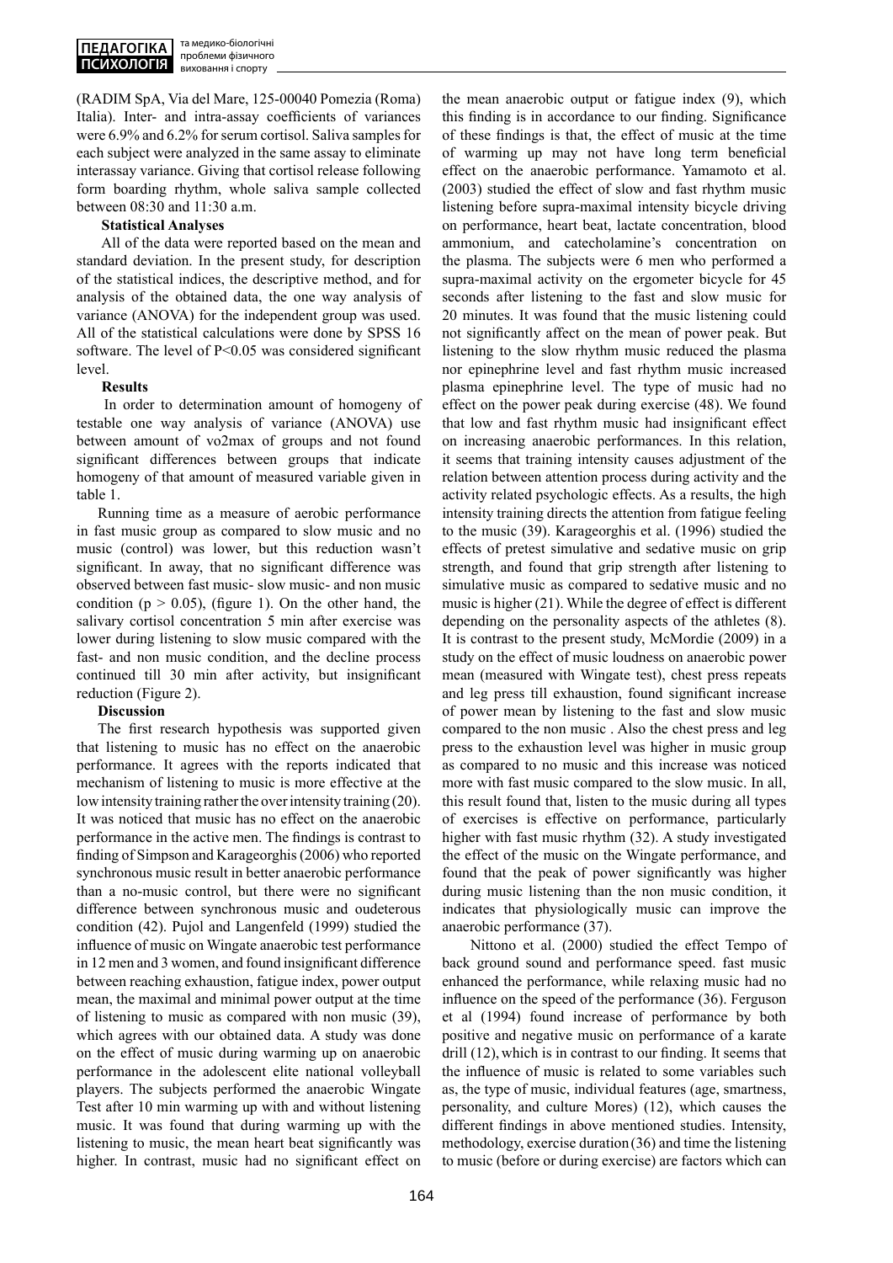(RADIM SpA, Via del Mare, 125-00040 Pomezia (Roma) Italia). Inter- and intra-assay coefficients of variances were 6.9% and 6.2% for serum cortisol. Saliva samples for each subject were analyzed in the same assay to eliminate interassay variance. Giving that cortisol release following form boarding rhythm, whole saliva sample collected between 08:30 and 11:30 a.m.

## **Statistical Analyses**

 All of the data were reported based on the mean and standard deviation. In the present study, for description of the statistical indices, the descriptive method, and for analysis of the obtained data, the one way analysis of variance (ANOVA) for the independent group was used. All of the statistical calculations were done by SPSS 16 software. The level of P<0.05 was considered significant level.

# **Results**

 In order to determination amount of homogeny of testable one way analysis of variance (ANOVA) use between amount of vo2max of groups and not found significant differences between groups that indicate homogeny of that amount of measured variable given in table 1.

Running time as a measure of aerobic performance in fast music group as compared to slow music and no music (control) was lower, but this reduction wasn't significant. In away, that no significant difference was observed between fast music- slow music- and non music condition ( $p > 0.05$ ), (figure 1). On the other hand, the salivary cortisol concentration 5 min after exercise was lower during listening to slow music compared with the fast- and non music condition, and the decline process continued till 30 min after activity, but insignificant reduction (Figure 2).

### **Discussion**

The first research hypothesis was supported given that listening to music has no effect on the anaerobic performance. It agrees with the reports indicated that mechanism of listening to music is more effective at the low intensity training rather the over intensity training (20). It was noticed that music has no effect on the anaerobic performance in the active men. The findings is contrast to finding of Simpson and Karageorghis (2006) who reported synchronous music result in better anaerobic performance than a no-music control, but there were no significant difference between synchronous music and oudeterous condition (42). Pujol and Langenfeld (1999) studied the influence of music on Wingate anaerobic test performance in 12 men and 3 women, and found insignificant difference between reaching exhaustion, fatigue index, power output mean, the maximal and minimal power output at the time of listening to music as compared with non music (39), which agrees with our obtained data. A study was done on the effect of music during warming up on anaerobic performance in the adolescent elite national volleyball players. The subjects performed the anaerobic Wingate Test after 10 min warming up with and without listening music. It was found that during warming up with the listening to music, the mean heart beat significantly was higher. In contrast, music had no significant effect on

the mean anaerobic output or fatigue index (9), which this finding is in accordance to our finding. Significance of these findings is that, the effect of music at the time of warming up may not have long term beneficial effect on the anaerobic performance. Yamamoto et al. (2003) studied the effect of slow and fast rhythm music listening before supra-maximal intensity bicycle driving on performance, heart beat, lactate concentration, blood ammonium, and catecholamine's concentration on the plasma. The subjects were 6 men who performed a supra-maximal activity on the ergometer bicycle for 45 seconds after listening to the fast and slow music for 20 minutes. It was found that the music listening could not significantly affect on the mean of power peak. But listening to the slow rhythm music reduced the plasma nor epinephrine level and fast rhythm music increased plasma epinephrine level. The type of music had no effect on the power peak during exercise (48). We found that low and fast rhythm music had insignificant effect on increasing anaerobic performances. In this relation, it seems that training intensity causes adjustment of the relation between attention process during activity and the activity related psychologic effects. As a results, the high intensity training directs the attention from fatigue feeling to the music (39). Karageorghis et al. (1996) studied the effects of pretest simulative and sedative music on grip strength, and found that grip strength after listening to simulative music as compared to sedative music and no music is higher (21). While the degree of effect is different depending on the personality aspects of the athletes (8). It is contrast to the present study, McMordie (2009) in a study on the effect of music loudness on anaerobic power mean (measured with Wingate test), chest press repeats and leg press till exhaustion, found significant increase of power mean by listening to the fast and slow music compared to the non music . Also the chest press and leg press to the exhaustion level was higher in music group as compared to no music and this increase was noticed more with fast music compared to the slow music. In all, this result found that, listen to the music during all types of exercises is effective on performance, particularly higher with fast music rhythm (32). A study investigated the effect of the music on the Wingate performance, and found that the peak of power significantly was higher during music listening than the non music condition, it indicates that physiologically music can improve the anaerobic performance (37).

 Nittono et al. (2000) studied the effect Tempo of back ground sound and performance speed. fast music enhanced the performance, while relaxing music had no influence on the speed of the performance (36). Ferguson et al (1994) found increase of performance by both positive and negative music on performance of a karate drill (12), which is in contrast to our finding. It seems that the influence of music is related to some variables such as, the type of music, individual features (age, smartness, personality, and culture Mores) (12), which causes the different findings in above mentioned studies. Intensity, methodology, exercise duration(36) and time the listening to music (before or during exercise) are factors which can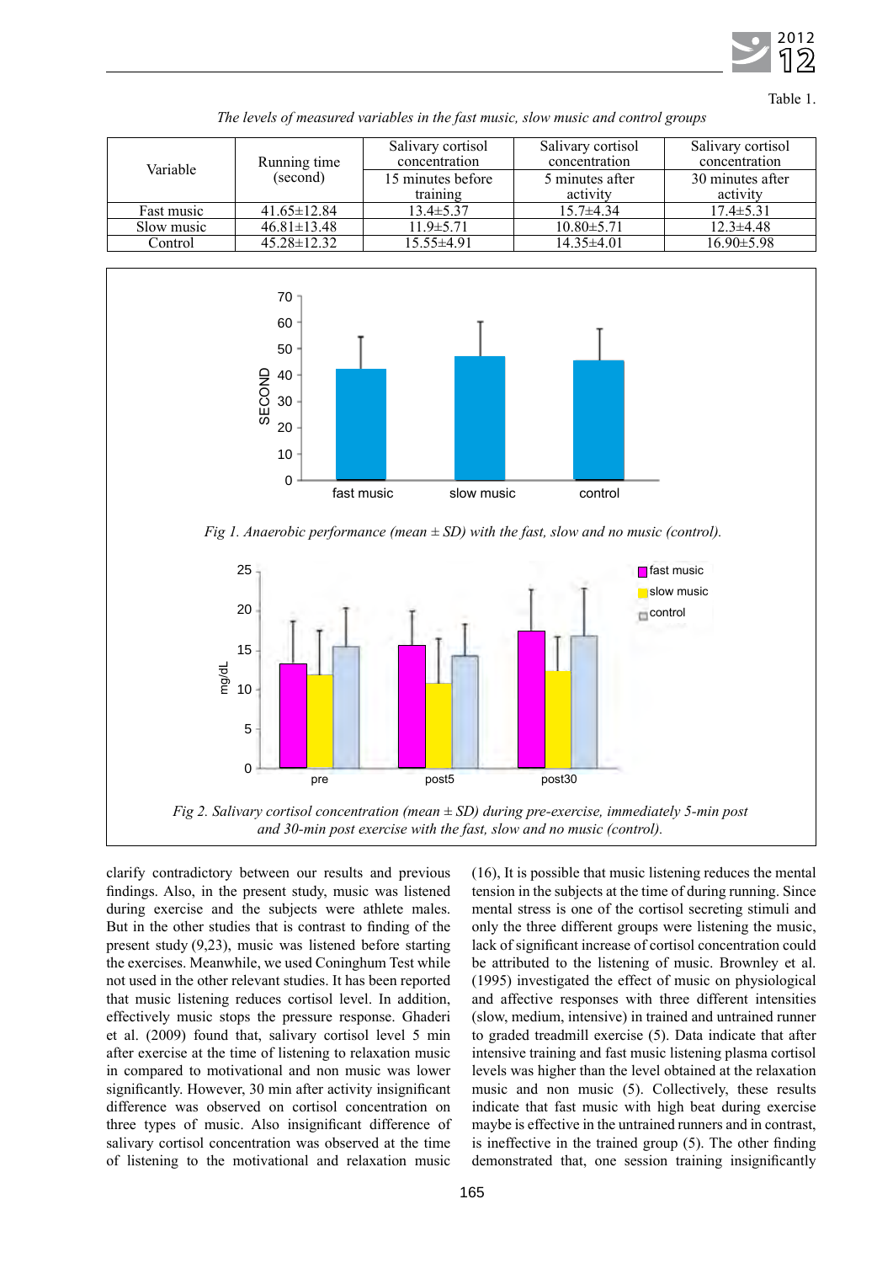

Table 1.

| Variable   | Running time<br>(second) | Salivary cortisol<br>concentration<br>15 minutes before | Salivary cortisol<br>concentration<br>5 minutes after | Salivary cortisol<br>concentration<br>30 minutes after |
|------------|--------------------------|---------------------------------------------------------|-------------------------------------------------------|--------------------------------------------------------|
|            |                          | training                                                | activity                                              | activity                                               |
| Fast music | $41.65 \pm 12.84$        | $13.4 \pm 5.37$                                         | $15.7\pm4.34$                                         | $17.4 \pm 5.31$                                        |
| Slow music | $46.81 \pm 13.48$        | $11.9 \pm 5.71$                                         | $10.80 \pm 5.71$                                      | $12.3 \pm 4.48$                                        |
| Control    | $45.28 \pm 12.32$        | $15.55 \pm 4.91$                                        | $14.35\pm4.01$                                        | $16.90 \pm 5.98$                                       |

*The levels of measured variables in the fast music, slow music and control groups*



*Fig 1. Anaerobic performance (mean ± SD) with the fast, slow and no music (control).*



clarify contradictory between our results and previous findings. Also, in the present study, music was listened during exercise and the subjects were athlete males. But in the other studies that is contrast to finding of the present study (9,23), music was listened before starting the exercises. Meanwhile, we used Coninghum Test while not used in the other relevant studies. It has been reported that music listening reduces cortisol level. In addition, effectively music stops the pressure response. Ghaderi et al. (2009) found that, salivary cortisol level 5 min after exercise at the time of listening to relaxation music in compared to motivational and non music was lower significantly. However, 30 min after activity insignificant difference was observed on cortisol concentration on three types of music. Also insignificant difference of salivary cortisol concentration was observed at the time of listening to the motivational and relaxation music (16), It is possible that music listening reduces the mental tension in the subjects at the time of during running. Since mental stress is one of the cortisol secreting stimuli and only the three different groups were listening the music, lack of significant increase of cortisol concentration could be attributed to the listening of music. Brownley et al. (1995) investigated the effect of music on physiological and affective responses with three different intensities (slow, medium, intensive) in trained and untrained runner to graded treadmill exercise (5). Data indicate that after intensive training and fast music listening plasma cortisol levels was higher than the level obtained at the relaxation music and non music (5). Collectively, these results indicate that fast music with high beat during exercise maybe is effective in the untrained runners and in contrast, is ineffective in the trained group (5). The other finding demonstrated that, one session training insignificantly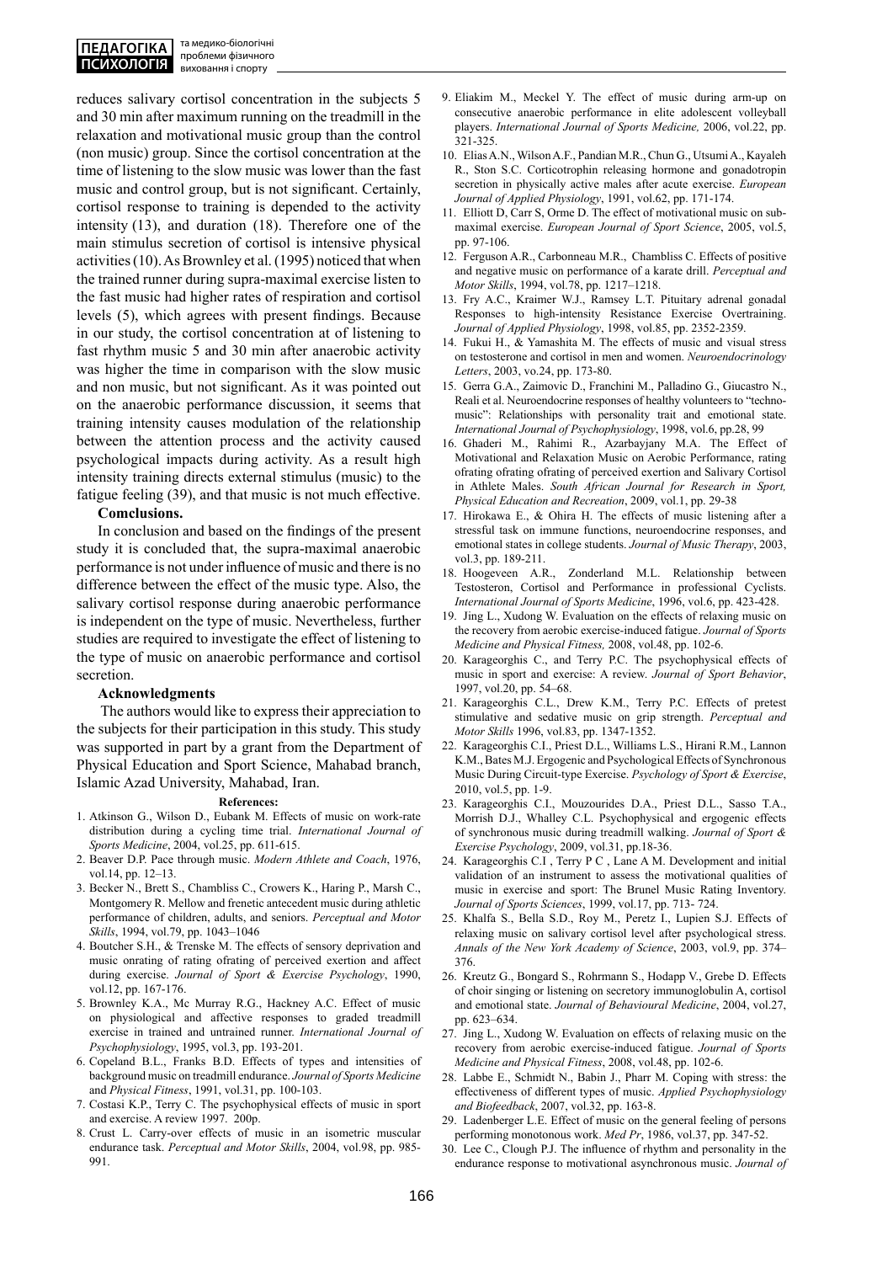reduces salivary cortisol concentration in the subjects 5 and 30 min after maximum running on the treadmill in the relaxation and motivational music group than the control (non music) group. Since the cortisol concentration at the time of listening to the slow music was lower than the fast music and control group, but is not significant. Certainly, cortisol response to training is depended to the activity intensity (13), and duration (18). Therefore one of the main stimulus secretion of cortisol is intensive physical activities (10). As Brownley et al. (1995) noticed that when the trained runner during supra-maximal exercise listen to the fast music had higher rates of respiration and cortisol levels (5), which agrees with present findings. Because in our study, the cortisol concentration at of listening to fast rhythm music 5 and 30 min after anaerobic activity was higher the time in comparison with the slow music and non music, but not significant. As it was pointed out on the anaerobic performance discussion, it seems that training intensity causes modulation of the relationship between the attention process and the activity caused psychological impacts during activity. As a result high intensity training directs external stimulus (music) to the fatigue feeling (39), and that music is not much effective.

### **Comclusions.**

In conclusion and based on the findings of the present study it is concluded that, the supra-maximal anaerobic performance is not under influence of music and there is no difference between the effect of the music type. Also, the salivary cortisol response during anaerobic performance is independent on the type of music. Nevertheless, further studies are required to investigate the effect of listening to the type of music on anaerobic performance and cortisol secretion.

#### **Acknowledgments**

 The authors would like to express their appreciation to the subjects for their participation in this study. This study was supported in part by a grant from the Department of Physical Education and Sport Science, Mahabad branch, Islamic Azad University, Mahabad, Iran.

#### **References:**

- 1. Atkinson G., Wilson D., Eubank M. Effects of music on work-rate distribution during a cycling time trial. *International Journal of Sports Medicine*, 2004, vol.25, pp. 611-615.
- 2. Beaver D.P. Pace through music. *Modern Athlete and Coach*, 1976, vol.14, pp. 12–13.
- 3. Becker N., Brett S., Chambliss C., Crowers K., Haring P., Marsh C., Montgomery R. Mellow and frenetic antecedent music during athletic performance of children, adults, and seniors. *Perceptual and Motor Skills*, 1994, vol.79, pp. 1043–1046
- 4. Boutcher S.H., & Trenske M. The effects of sensory deprivation and music onrating of rating ofrating of perceived exertion and affect during exercise. *Journal of Sport & Exercise Psychology*, 1990, vol.12, pp. 167-176.
- 5. Brownley K.A., Mc Murray R.G., Hackney A.C. Effect of music on physiological and affective responses to graded treadmill exercise in trained and untrained runner. *International Journal of Psychophysiology*, 1995, vol.3, pp. 193-201.
- 6. Copeland B.L., Franks B.D. Effects of types and intensities of background music on treadmill endurance. *Journal of Sports Medicine* and *Physical Fitness*, 1991, vol.31, pp. 100-103.
- 7. Costasi K.P., Terry C. The psychophysical effects of music in sport and exercise. A review 1997. 200p.
- 8. Crust L. Carry-over effects of music in an isometric muscular endurance task. *Perceptual and Motor Skills*, 2004, vol.98, pp. 985- 991.
- 9. Eliakim M., Meckel Y. The effect of music during arm-up on consecutive anaerobic performance in elite adolescent volleyball players. *International Journal of Sports Medicine,* 2006, vol.22, pp. 321-325.
- 10. Elias A.N., Wilson A.F., Pandian M.R., Chun G., Utsumi A., Kayaleh R., Ston S.C. Corticotrophin releasing hormone and gonadotropin secretion in physically active males after acute exercise. *European Journal of Applied Physiology*, 1991, vol.62, pp. 171-174.
- 11. Elliott D, Carr S, Orme D. The effect of motivational music on submaximal exercise. *European Journal of Sport Science*, 2005, vol.5, pp. 97-106.
- 12. Ferguson A.R., Carbonneau M.R., Chambliss C. Effects of positive and negative music on performance of a karate drill. *Perceptual and Motor Skills*, 1994, vol.78, pp. 1217–1218.
- 13. Fry A.C., Kraimer W.J., Ramsey L.T. Pituitary adrenal gonadal Responses to high-intensity Resistance Exercise Overtraining. *Journal of Applied Physiology*, 1998, vol.85, pp. 2352-2359.
- 14. Fukui H., & Yamashita M. The effects of music and visual stress on testosterone and cortisol in men and women. *Neuroendocrinology Letters*, 2003, vo.24, pp. 173-80.
- 15. Gerra G.A., Zaimovic D., Franchini M., Palladino G., Giucastro N., Reali et al. Neuroendocrine responses of healthy volunteers to "technomusic": Relationships with personality trait and emotional state. *International Journal of Psychophysiology*, 1998, vol.6, pp.28, 99
- 16. Ghaderi M., Rahimi R., Azarbayjany M.A. The Effect of Motivational and Relaxation Music on Aerobic Performance, rating ofrating ofrating ofrating of perceived exertion and Salivary Cortisol in Athlete Males. *South African Journal for Research in Sport, Physical Education and Recreation*, 2009, vol.1, pp. 29-38
- 17. Hirokawa E., & Ohira H. The effects of music listening after a stressful task on immune functions, neuroendocrine responses, and emotional states in college students. *Journal of Music Therapy*, 2003, vol.3, pp. 189-211.
- 18. Hoogeveen A.R., Zonderland M.L. Relationship between Testosteron, Cortisol and Performance in professional Cyclists. *International Journal of Sports Medicine*, 1996, vol.6, pp. 423-428.
- 19. Jing L., Xudong W. Evaluation on the effects of relaxing music on the recovery from aerobic exercise-induced fatigue. *Journal of Sports Medicine and Physical Fitness,* 2008, vol.48, pp. 102-6.
- 20. Karageorghis C., and Terry P.C. The psychophysical effects of music in sport and exercise: A review. *Journal of Sport Behavior*, 1997, vol.20, pp. 54–68.
- 21. Karageorghis C.L., Drew K.M., Terry P.C. Effects of pretest stimulative and sedative music on grip strength. *Perceptual and Motor Skills* 1996, vol.83, pp. 1347-1352.
- 22. Karageorghis C.I., Priest D.L., Williams L.S., Hirani R.M., Lannon K.M., Bates M.J. Ergogenic and Psychological Effects of Synchronous Music During Circuit-type Exercise. *Psychology of Sport & Exercise*, 2010, vol.5, pp. 1-9.
- 23. Karageorghis C.I., Mouzourides D.A., Priest D.L., Sasso T.A., Morrish D.J., Whalley C.L. Psychophysical and ergogenic effects of synchronous music during treadmill walking. *Journal of Sport & Exercise Psychology*, 2009, vol.31, pp.18-36.
- 24. Karageorghis C.I , Terry P C , Lane A M. Development and initial validation of an instrument to assess the motivational qualities of music in exercise and sport: The Brunel Music Rating Inventory. *Journal of Sports Sciences*, 1999, vol.17, pp. 713- 724.
- 25. Khalfa S., Bella S.D., Roy M., Peretz I., Lupien S.J. Effects of relaxing music on salivary cortisol level after psychological stress. *Annals of the New York Academy of Science*, 2003, vol.9, pp. 374– 376.
- 26. Kreutz G., Bongard S., Rohrmann S., Hodapp V., Grebe D. Effects of choir singing or listening on secretory immunoglobulin A, cortisol and emotional state. *Journal of Behavioural Medicine*, 2004, vol.27, pp. 623–634.
- 27. Jing L., Xudong W. Evaluation on effects of relaxing music on the recovery from aerobic exercise-induced fatigue. *Journal of Sports Medicine and Physical Fitness*, 2008, vol.48, pp. 102-6.
- 28. Labbe E., Schmidt N., Babin J., Pharr M. Coping with stress: the effectiveness of different types of music. *Applied Psychophysiology and Biofeedback*, 2007, vol.32, pp. 163-8.
- 29. Ladenberger L.E. Effect of music on the general feeling of persons performing monotonous work. *Med Pr*, 1986, vol.37, pp. 347-52.
- 30. Lee C., Clough P.J. The influence of rhythm and personality in the endurance response to motivational asynchronous music. *Journal of*